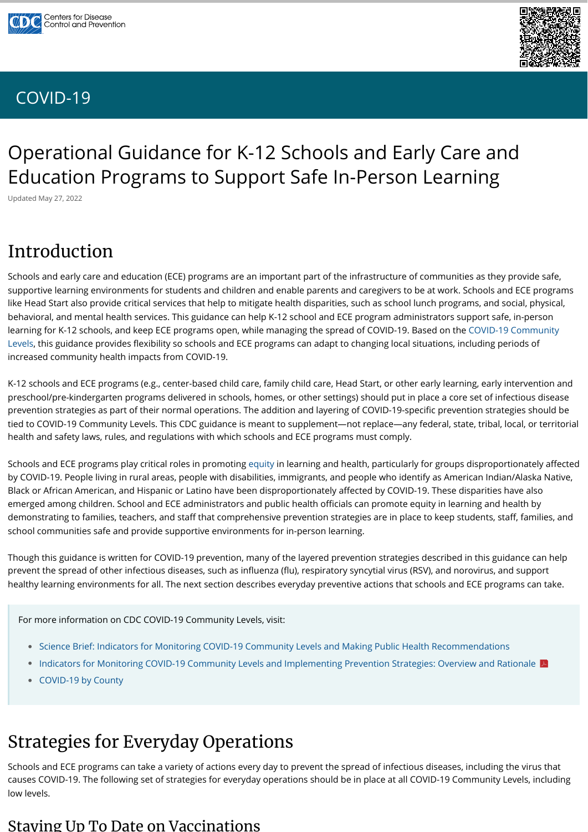# Operational Guidance for K-12 Schools and Early Care and Education Programs to Support Safe In-Person Learning

Updated May 27, 2022

# Introduction

Schools and early care and education (ECE) programs are an important part of the infrastructure of communities as they provide safe, supportive learning environments for students and children and enable parents and caregivers to be at work. Schools and ECE programs like Head Start also provide critical services that help to mitigate health disparities, such as school lunch programs, and social, physical, behavioral, and mental health services. This guidance can help K-12 school and ECE program administrators support safe, in-person [learning for K-12 schools, and keep ECE programs open, while managing the spread of COVID-19. Based on the COVID-19 Community](https://www.cdc.gov/coronavirus/2019-ncov/science/community-levels.html) Levels, this guidance provides flexibility so schools and ECE programs can adapt to changing local situations, including periods of increased community health impacts from COVID-19.

K-12 schools and ECE programs (e.g., center-based child care, family child care, Head Start, or other early learning, early intervention and preschool/pre-kindergarten programs delivered in schools, homes, or other settings) should put in place a core set of infectious disease prevention strategies as part of their normal operations. The addition and layering of COVID-19-specific prevention strategies should be tied to COVID-19 Community Levels. This CDC guidance is meant to supplement—not replace—any federal, state, tribal, local, or territorial health and safety laws, rules, and regulations with which schools and ECE programs must comply.

- [Science Brief: Indicators for Monitoring COVID-19 Community Levels and Making Public Health Recommendations](https://www.cdc.gov/coronavirus/2019-ncov/science/science-briefs/indicators-monitoring-community-levels.html)
- [Indicators for Monitoring COVID-19 Community Levels and Implementing Prevention Strategies: Overview and Rationale](https://www.cdc.gov/coronavirus/2019-ncov/downloads/science/Scientific-Rationale-summary-COVID-19-Community-Levels.pdf)
- [COVID-19 by County](https://www.cdc.gov/coronavirus/2019-ncov/your-health/covid-by-county.html) •

Schools and ECE programs play critical roles in promoting [equity](https://www.cdc.gov/coronavirus/2019-ncov/community/health-equity/index.html) in learning and health, particularly for groups disproportionately affected by COVID-19. People living in rural areas, people with disabilities, immigrants, and people who identify as American Indian/Alaska Native, Black or African American, and Hispanic or Latino have been disproportionately affected by COVID-19. These disparities have also emerged among children. School and ECE administrators and public health officials can promote equity in learning and health by demonstrating to families, teachers, and staff that comprehensive prevention strategies are in place to keep students, staff, families, and school communities safe and provide supportive environments for in-person learning.

Though this guidance is written for COVID-19 prevention, many of the layered prevention strategies described in this guidance can help prevent the spread of other infectious diseases, such as influenza (flu), respiratory syncytial virus (RSV), and norovirus, and support healthy learning environments for all. The next section describes everyday preventive actions that schools and ECE programs can take.

# Strategies for Everyday Operations

Schools and ECE programs can take a variety of actions every day to prevent the spread of infectious diseases, including the virus that causes COVID-19. The following set of strategies for everyday operations should be in place at all COVID-19 Community Levels, including low levels.

#### Staying Up To Date on Vaccinations





#### [COVID-19](https://www.cdc.gov/coronavirus/2019-nCoV/index.html)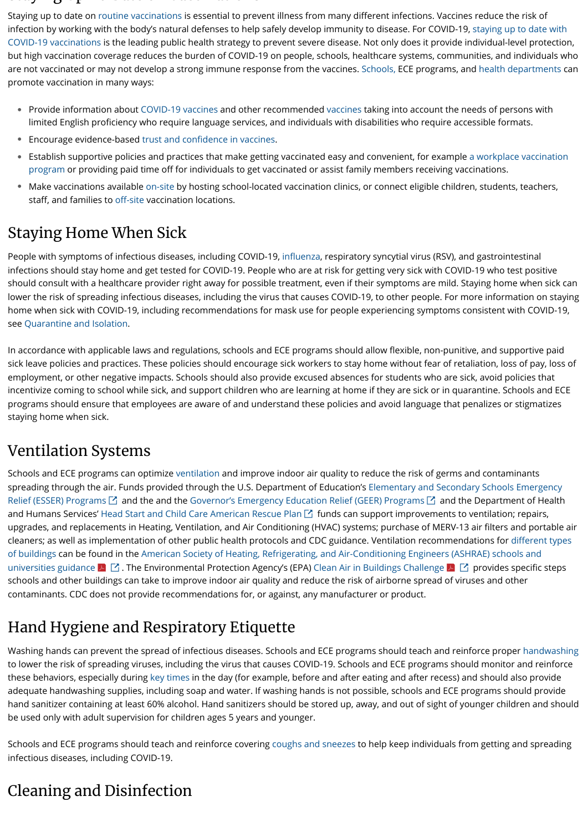#### $\mathbf{S}$  at o  $\mathbf{U}$  or  $\mathbf{S}$  at o  $\mathbf{U}$

Staying up to date on [routine vaccinations](https://www.cdc.gov/vaccines/schedules/hcp/imz/child-adolescent.html) is essential to prevent illness from many different infections. Vaccines reduce the risk of infection by working with the body's natural defenses to help safely develop immunity to disease. For COVID-19, staying up to date with [COVID-19 vaccinations is the leading public health strategy to prevent severe disease. Not only does it provide individual-level protection](https://www.cdc.gov/coronavirus/2019-ncov/vaccines/stay-up-to-date.html), but high vaccination coverage reduces the burden of COVID-19 on people, schools, healthcare systems, communities, and individuals who are not vaccinated or may not develop a strong immune response from the vaccines. [Schools,](https://www.cdc.gov/vaccines/covid-19/planning/school-located-clinics/how-schools-can-support.html) ECE programs, and [health departments](https://www.cdc.gov/vaccines/covid-19/health-departments/generate-vaccinations.html) can promote vaccination in many ways:

- Provide information about [COVID-19 vaccines](https://www.cdc.gov/coronavirus/2019-ncov/vaccines/recommendations/children-teens.html) and other recommended [vaccines](https://www.cdc.gov/vaccines/index.html) taking into account the needs of persons with limited English proficiency who require language services, and individuals with disabilities who require accessible formats.
- Encourage evidence-based [trust and confidence in vaccines](https://www.cdc.gov/vaccines/covid-19/vaccinate-with-confidence.html). •
- $\bullet~$  [Establish supportive policies and practices that make getting vaccinated easy and convenient, for example a workplace vaccination](https://www.cdc.gov/coronavirus/2019-ncov/vaccines/recommendations/essentialworker/workplace-vaccination-program.html) program or providing paid time off for individuals to get vaccinated or assist family members receiving vaccinations.
- Make vaccinations available [on-site](https://www.cdc.gov/vaccines/covid-19/planning/school-located-clinics.html) by hosting school-located vaccination clinics, or connect eligible children, students, teachers, staff, and families to [off-site](https://www.vaccines.gov/) vaccination locations.

#### Staying Home When Sick

People with symptoms of infectious diseases, including COVID-19, [influenza,](https://www.cdc.gov/flu/symptoms/flu-vs-covid19.htm) respiratory syncytial virus (RSV), and gastrointestinal infections should stay home and get tested for COVID-19. People who are at risk for getting very sick with COVID-19 who test positive should consult with a healthcare provider right away for possible treatment, even if their symptoms are mild. Staying home when sick can lower the risk of spreading infectious diseases, including the virus that causes COVID-19, to other people. For more information on staying home when sick with COVID-19, including recommendations for mask use for people experiencing symptoms consistent with COVID-19, see [Quarantine and Isolation.](https://www.cdc.gov/coronavirus/2019-ncov/your-health/quarantine-isolation.html)

In accordance with applicable laws and regulations, schools and ECE programs should allow flexible, non-punitive, and supportive paid sick leave policies and practices. These policies should encourage sick workers to stay home without fear of retaliation, loss of pay, loss of employment, or other negative impacts. Schools should also provide excused absences for students who are sick, avoid policies that incentivize coming to school while sick, and support children who are learning at home if they are sick or in quarantine. Schools and ECE programs should ensure that employees are aware of and understand these policies and avoid language that penalizes or stigmatizes staying home when sick.

#### Ventilation Systems

Schools and ECE programs can optimize [ventilation](https://www.cdc.gov/coronavirus/2019-ncov/community/schools-childcare/ventilation.html) and improve indoor air quality to reduce the risk of germs and contaminants [spreading through the air. Funds provided through the U.S. Department of Education's Elementary and Secondary Schools Emergency](https://oese.ed.gov/offices/education-stabilization-fund/elementary-secondary-school-emergency-relief-fund/) Relief (ESSER) Programs  $\boxtimes$  and the and the [Governor's Emergency Education Relief \(GEER\) Programs](https://oese.ed.gov/offices/education-stabilization-fund/governors-emergency-education-relief-fund/)  $\boxtimes$  and the Department of Health and Humans Services' [Head Start and Child Care American Rescue Plan](https://eclkc.ohs.acf.hhs.gov/policy/pi/acf-pi-hs-21-03)  $\boxtimes$  funds can support improvements to ventilation; repairs, upgrades, and replacements in Heating, Ventilation, and Air Conditioning (HVAC) systems; purchase of MERV-13 air filters and portable air [cleaners; as well as implementation of other public health protocols and CDC guidance. Ventilation recommendations for different types](https://www.cdc.gov/coronavirus/2019-ncov/community/ventilation.html) [of buildings can be found in the American Society of Heating, Refrigerating, and Air-Conditioning Engineers \(ASHRAE\) schools and](https://images.magnetmail.net/images/clients/ASHRAE/attach/ashrae_reopening_schools_and_universities_c19_guidance.pdf) universities guidance  $\blacktriangleright$   $\Box$  . The Environmental Protection Agency's (EPA) [Clean Air in Buildings Challenge](https://www.epa.gov/system/files/documents/2022-03/508-cleanairbuildings_factsheet_v5_508.pdf)  $\blacktriangleright$   $\Box$  provides specific steps schools and other buildings can take to improve indoor air quality and reduce the risk of airborne spread of viruses and other contaminants. CDC does not provide recommendations for, or against, any manufacturer or product.

#### Hand Hygiene and Respiratory Etiquette

Washing hands can prevent the spread of infectious diseases. Schools and ECE programs should teach and reinforce proper [handwashing](https://www.cdc.gov/handwashing/when-how-handwashing.html) to lower the risk of spreading viruses, including the virus that causes COVID-19. Schools and ECE programs should monitor and reinforce these behaviors, especially during [key times](https://www.cdc.gov/handwashing/when-how-handwashing.html) in the day (for example, before and after eating and after recess) and should also provide adequate handwashing supplies, including soap and water. If washing hands is not possible, schools and ECE programs should provide hand sanitizer containing at least 60% alcohol. Hand sanitizers should be stored up, away, and out of sight of younger children and should be used only with adult supervision for children ages 5 years and younger.

Schools and ECE programs should teach and reinforce covering [coughs and sneezes](https://www.cdc.gov/healthywater/hygiene/etiquette/coughing_sneezing.html) to help keep individuals from getting and spreading infectious diseases, including COVID-19.

#### Cleaning and Disinfection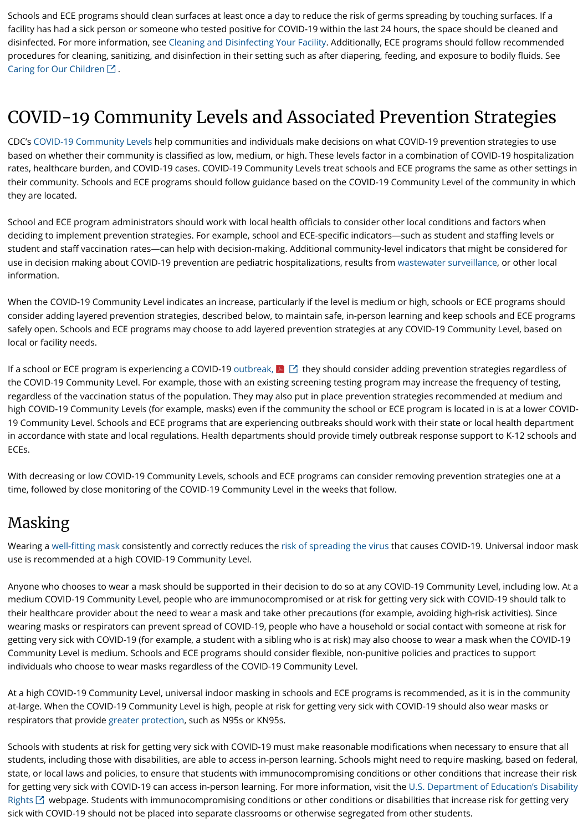Schools and ECE programs should clean surfaces at least once a day to reduce the risk of germs spreading by touching surfaces. If a facility has had a sick person or someone who tested positive for COVID-19 within the last 24 hours, the space should be cleaned and disinfected. For more information, see [Cleaning and Disinfecting Your Facility.](https://www.cdc.gov/coronavirus/2019-ncov/community/disinfecting-building-facility.html) Additionally, ECE programs should follow recommended procedures for cleaning, sanitizing, and disinfection in their setting such as after diapering, feeding, and exposure to bodily fluids. See [Caring for Our Children](https://nrckids.org/CFOC)  $\boxtimes$ .

## COVID-19 Community Levels and Associated Prevention Strategies

CDC's [COVID-19 Community Levels](https://www.cdc.gov/coronavirus/2019-ncov/science/community-levels.html) help communities and individuals make decisions on what COVID-19 prevention strategies to use based on whether their community is classified as low, medium, or high. These levels factor in a combination of COVID-19 hospitalization rates, healthcare burden, and COVID-19 cases. COVID-19 Community Levels treat schools and ECE programs the same as other settings in their community. Schools and ECE programs should follow guidance based on the COVID-19 Community Level of the community in which they are located.

School and ECE program administrators should work with local health officials to consider other local conditions and factors when deciding to implement prevention strategies. For example, school and ECE-specific indicators—such as student and staffing levels or student and staff vaccination rates—can help with decision-making. Additional community-level indicators that might be considered for use in decision making about COVID-19 prevention are pediatric hospitalizations, results from [wastewater surveillance](https://www.cdc.gov/healthywater/surveillance/wastewater-surveillance/wastewater-surveillance.html#how-wastewater-surveillance-works), or other local information.

If a school or ECE program is experiencing a COVID-19 [outbreak,](https://preparedness.cste.org/wp-content/uploads/2021/08/CSTE-Standardized-COVID-19-K-12-School-Surveillance-Guidance-for-Classification-of-Clusters-and-Outbreaks.pdf)  $\blacktriangle\Box$  they should consider adding prevention strategies regardless of the COVID-19 Community Level. For example, those with an existing screening testing program may increase the frequency of testing, regardless of the vaccination status of the population. They may also put in place prevention strategies recommended at medium and high COVID-19 Community Levels (for example, masks) even if the community the school or ECE program is located in is at a lower COVID-19 Community Level. Schools and ECE programs that are experiencing outbreaks should work with their state or local health department in accordance with state and local regulations. Health departments should provide timely outbreak response support to K-12 schools and ECEs.

When the COVID-19 Community Level indicates an increase, particularly if the level is medium or high, schools or ECE programs should consider adding layered prevention strategies, described below, to maintain safe, in-person learning and keep schools and ECE programs safely open. Schools and ECE programs may choose to add layered prevention strategies at any COVID-19 Community Level, based on local or facility needs.

With decreasing or low COVID-19 Community Levels, schools and ECE programs can consider removing prevention strategies one at a time, followed by close monitoring of the COVID-19 Community Level in the weeks that follow.

#### Masking

Wearing a [well-fitting mask](https://www.cdc.gov/coronavirus/2019-ncov/prevent-getting-sick/about-face-coverings.html) consistently and correctly reduces the [risk of spreading the virus](https://www.cdc.gov/coronavirus/2019-ncov/science/science-briefs/masking-science-sars-cov2.html) that causes COVID-19. Universal indoor mask use is recommended at a high COVID-19 Community Level.

Anyone who chooses to wear a mask should be supported in their decision to do so at any COVID-19 Community Level, including low. At a medium COVID-19 Community Level, people who are immunocompromised or at risk for getting very sick with COVID-19 should talk to their healthcare provider about the need to wear a mask and take other precautions (for example, avoiding high-risk activities). Since wearing masks or respirators can prevent spread of COVID-19, people who have a household or social contact with someone at risk for getting very sick with COVID-19 (for example, a student with a sibling who is at risk) may also choose to wear a mask when the COVID-19 Community Level is medium. Schools and ECE programs should consider flexible, non-punitive policies and practices to support individuals who choose to wear masks regardless of the COVID-19 Community Level.

At a high COVID-19 Community Level, universal indoor masking in schools and ECE programs is recommended, as it is in the community at-large. When the COVID-19 Community Level is high, people at risk for getting very sick with COVID-19 should also wear masks or respirators that provide [greater protection](https://www.cdc.gov/coronavirus/2019-ncov/prevent-getting-sick/types-of-masks.html), such as N95s or KN95s.

Schools with students at risk for getting very sick with COVID-19 must make reasonable modifications when necessary to ensure that all students, including those with disabilities, are able to access in-person learning. Schools might need to require masking, based on federal, state, or local laws and policies, to ensure that students with immunocompromising conditions or other conditions that increase their risk [for getting very sick with COVID-19 can access in-person learning. For more information, visit the U.S. Department of Education's Disability](https://www.ed.gov/coronavirus/factsheets/disability-rights) Rights  $\boxtimes$  webpage. Students with immunocompromising conditions or other conditions or disabilities that increase risk for getting very sick with COVID-19 should not be placed into separate classrooms or otherwise segregated from other students.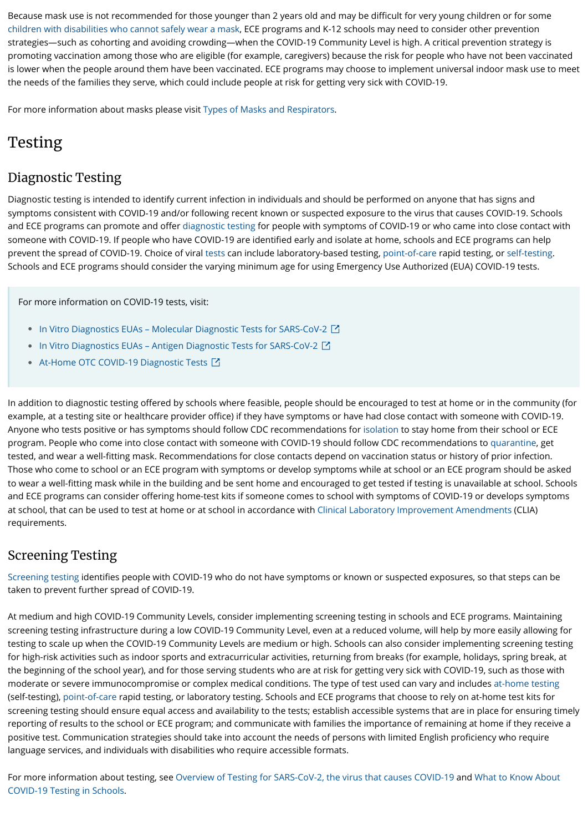Because mask use is not recommended for those younger than 2 years old and may be difficult for very young children or for some [children with disabilities who cannot safely wear a mask,](https://www.cdc.gov/coronavirus/2019-ncov/prevent-getting-sick/types-of-masks.html#children) ECE programs and K-12 schools may need to consider other prevention strategies—such as cohorting and avoiding crowding—when the COVID-19 Community Level is high. A critical prevention strategy is promoting vaccination among those who are eligible (for example, caregivers) because the risk for people who have not been vaccinated is lower when the people around them have been vaccinated. ECE programs may choose to implement universal indoor mask use to meet the needs of the families they serve, which could include people at risk for getting very sick with COVID-19.

For more information about masks please visit [Types of Masks and Respirators.](https://www.cdc.gov/coronavirus/2019-ncov/prevent-getting-sick/types-of-masks.html#children)

## Testing

#### Diagnostic Testing

Diagnostic testing is intended to identify current infection in individuals and should be performed on anyone that has signs and symptoms consistent with COVID-19 and/or following recent known or suspected exposure to the virus that causes COVID-19. Schools and ECE programs can promote and offer [diagnostic testing](https://www.cdc.gov/coronavirus/2019-ncov/testing/diagnostic-testing.html) for people with symptoms of COVID-19 or who came into close contact with someone with COVID-19. If people who have COVID-19 are identified early and isolate at home, schools and ECE programs can help prevent the spread of COVID-19. Choice of viral [tests](https://www.cdc.gov/coronavirus/2019-ncov/symptoms-testing/testing.html) can include laboratory-based testing, [point-of-care](https://www.cdc.gov/coronavirus/2019-ncov/lab/point-of-care-testing.html) rapid testing, or [self-testing.](https://www.cdc.gov/coronavirus/2019-ncov/testing/self-testing.html) Schools and ECE programs should consider the varying minimum age for using Emergency Use Authorized (EUA) COVID-19 tests.

In addition to diagnostic testing offered by schools where feasible, people should be encouraged to test at home or in the community (for example, at a testing site or healthcare provider office) if they have symptoms or have had close contact with someone with COVID-19. Anyone who tests positive or has symptoms should follow CDC recommendations for [isolation](https://www.cdc.gov/coronavirus/2019-ncov/your-health/quarantine-isolation.html#isolate) to stay home from their school or ECE program. People who come into close contact with someone with COVID-19 should follow CDC recommendations to [quarantine](https://www.cdc.gov/coronavirus/2019-ncov/your-health/quarantine-isolation.html#quarantine), get tested, and wear a well-fitting mask. Recommendations for close contacts depend on vaccination status or history of prior infection. Those who come to school or an ECE program with symptoms or develop symptoms while at school or an ECE program should be asked to wear a well-fitting mask while in the building and be sent home and encouraged to get tested if testing is unavailable at school. Schools and ECE programs can consider offering home-test kits if someone comes to school with symptoms of COVID-19 or develops symptoms at school, that can be used to test at home or at school in accordance with [Clinical Laboratory Improvement Amendments](https://www.cdc.gov/clia/law-regulations.html) (CLIA) requirements.

#### Screening Testing

[Screening testing](https://www.cdc.gov/coronavirus/2019-ncov/hcp/testing-overview.html) identifies people with COVID-19 who do not have symptoms or known or suspected exposures, so that steps can be taken to prevent further spread of COVID-19.

At medium and high COVID-19 Community Levels, consider implementing screening testing in schools and ECE programs. Maintaining screening testing infrastructure during a low COVID-19 Community Level, even at a reduced volume, will help by more easily allowing for testing to scale up when the COVID-19 Community Levels are medium or high. Schools can also consider implementing screening testing for high-risk activities such as indoor sports and extracurricular activities, returning from breaks (for example, holidays, spring break, at the beginning of the school year), and for those serving students who are at risk for getting very sick with COVID-19, such as those with moderate or severe immunocompromise or complex medical conditions. The type of test used can vary and includes [at-home testing](https://www.cdc.gov/coronavirus/2019-ncov/testing/self-testing.html) (self-testing), [point-of-care](https://www.cdc.gov/coronavirus/2019-ncov/lab/point-of-care-testing.html) rapid testing, or laboratory testing. Schools and ECE programs that choose to rely on at-home test kits for screening testing should ensure equal access and availability to the tests; establish accessible systems that are in place for ensuring timely reporting of results to the school or ECE program; and communicate with families the importance of remaining at home if they receive a positive test. Communication strategies should take into account the needs of persons with limited English proficiency who require language services, and individuals with disabilities who require accessible formats.

[For more information about testing, see O](https://www.cdc.gov/coronavirus/2019-ncov/community/schools-childcare/what-you-should-know.html)[verview of Testing for SARS-CoV-2, the virus that causes COVID-19](https://www.cdc.gov/coronavirus/2019-ncov/hcp/testing-overview.html) [and What to Know About](https://www.cdc.gov/coronavirus/2019-ncov/community/schools-childcare/what-you-should-know.html) COVID-19 Testing in Schools.

For more information on COVID-19 tests, visit:

- In Vitro Diagnostics EUAs Molecular Diagnostic Tests for SARS-CoV-2
- [In Vitro Diagnostics EUAs Antigen Diagnostic Tests for SARS-CoV-2](https://www.fda.gov/medical-devices/coronavirus-disease-2019-covid-19-emergency-use-authorizations-medical-devices/in-vitro-diagnostics-euas-antigen-diagnostic-tests-sars-cov-2)
- [At-Home OTC COVID-19 Diagnostic Tests](https://www.fda.gov/medical-devices/coronavirus-covid-19-and-medical-devices/home-otc-covid-19-diagnostic-tests) ■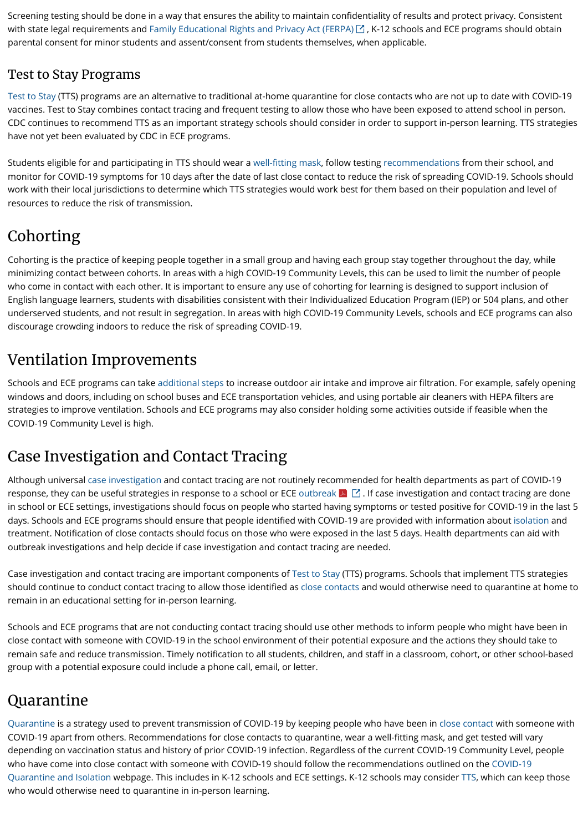Screening testing should be done in a way that ensures the ability to maintain confidentiality of results and protect privacy. Consistent with state legal requirements and [Family Educational Rights and Privacy Act \(FERPA\)](https://studentprivacy.ed.gov/?src=fpco)  $\boxdot$  , K-12 schools and ECE programs should obtain parental consent for minor students and assent/consent from students themselves, when applicable.

#### Test to Stay Programs

[Test to Stay](https://www.cdc.gov/coronavirus/2019-ncov/community/schools-childcare/what-you-should-know.html#anchor_1642695652184) (TTS) programs are an alternative to traditional at-home quarantine for close contacts who are not up to date with COVID-19 vaccines. Test to Stay combines contact tracing and frequent testing to allow those who have been exposed to attend school in person. CDC continues to recommend TTS as an important strategy schools should consider in order to support in-person learning. TTS strategies have not yet been evaluated by CDC in ECE programs.

Students eligible for and participating in TTS should wear a [well-fitting mask](https://www.cdc.gov/coronavirus/2019-ncov/prevent-getting-sick/about-face-coverings.html), follow testing [recommendations](https://www.cdc.gov/coronavirus/2019-ncov/your-health/quarantine-isolation.html) from their school, and monitor for COVID-19 symptoms for 10 days after the date of last close contact to reduce the risk of spreading COVID-19. Schools should work with their local jurisdictions to determine which TTS strategies would work best for them based on their population and level of resources to reduce the risk of transmission.

## Cohorting

Cohorting is the practice of keeping people together in a small group and having each group stay together throughout the day, while minimizing contact between cohorts. In areas with a high COVID-19 Community Levels, this can be used to limit the number of people who come in contact with each other. It is important to ensure any use of cohorting for learning is designed to support inclusion of English language learners, students with disabilities consistent with their Individualized Education Program (IEP) or 504 plans, and other underserved students, and not result in segregation. In areas with high COVID-19 Community Levels, schools and ECE programs can also discourage crowding indoors to reduce the risk of spreading COVID-19.

#### Ventilation Improvements

Schools and ECE programs can take [additional steps](https://www.cdc.gov/coronavirus/2019-ncov/community/schools-childcare/ventilation.html) to increase outdoor air intake and improve air filtration. For example, safely opening windows and doors, including on school buses and ECE transportation vehicles, and using portable air cleaners with HEPA filters are strategies to improve ventilation. Schools and ECE programs may also consider holding some activities outside if feasible when the COVID-19 Community Level is high.

### Case Investigation and Contact Tracing

Although universal [case investigation](https://www.cdc.gov/coronavirus/2019-ncov/global-covid-19/case-investigation-contact-tracing.html) and contact tracing are not routinely recommended for health departments as part of COVID-19 response, they can be useful strategies in response to a school or ECE [outbreak](https://preparedness.cste.org/wp-content/uploads/2020/08/Educational-Outbreak-Definition.pdf)  $\blacktriangleright$   $\boxdot$  . If case investigation and contact tracing are done in school or ECE settings, investigations should focus on people who started having symptoms or tested positive for COVID-19 in the last 5 days. Schools and ECE programs should ensure that people identified with COVID-19 are provided with information about [isolation](https://www.cdc.gov/coronavirus/2019-ncov/your-health/quarantine-isolation.html) and treatment. Notification of close contacts should focus on those who were exposed in the last 5 days. Health departments can aid with outbreak investigations and help decide if case investigation and contact tracing are needed.

Case investigation and contact tracing are important components of [Test to Stay](https://www.cdc.gov/coronavirus/2019-ncov/community/schools-childcare/what-you-should-know.html#anchor_1642695652184) (TTS) programs. Schools that implement TTS strategies should continue to conduct contact tracing to allow those identified as [close contacts](https://www.cdc.gov/coronavirus/2019-ncov/daily-life-coping/determine-close-contacts.html) and would otherwise need to quarantine at home to remain in an educational setting for in-person learning.

Schools and ECE programs that are not conducting contact tracing should use other methods to inform people who might have been in

close contact with someone with COVID-19 in the school environment of their potential exposure and the actions they should take to remain safe and reduce transmission. Timely notification to all students, children, and staff in a classroom, cohort, or other school-based group with a potential exposure could include a phone call, email, or letter.

#### Quarantine

[Quarantine](https://www.cdc.gov/coronavirus/2019-ncov/your-health/quarantine-isolation.html) is a strategy used to prevent transmission of COVID-19 by keeping people who have been in [close contact](https://www.cdc.gov/coronavirus/2019-ncov/php/contact-tracing/contact-tracing-plan/appendix.html#contact) with someone with COVID-19 apart from others. Recommendations for close contacts to quarantine, wear a well-fitting mask, and get tested will vary depending on vaccination status and history of prior COVID-19 infection. Regardless of the current COVID-19 Community Level, people who have come into close contact with someone with COVID-19 should follow the recommendations outlined on the COVID-19 [Quarantine and Isolation webpage. This includes in K-12 schools and ECE settings. K-12 schools may consider TTS, which can ke](https://www.cdc.gov/coronavirus/2019-ncov/your-health/quarantine-isolation.html)ep those who would otherwise need to quarantine in in-person learning.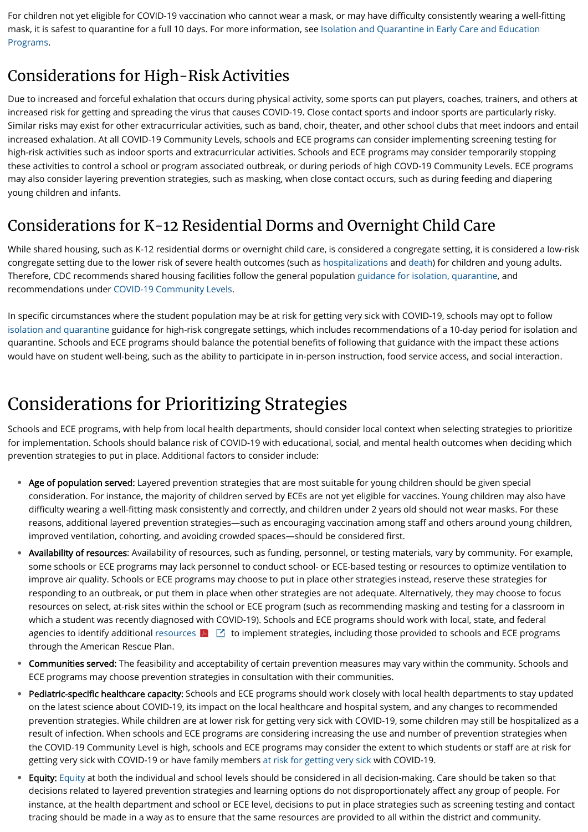For children not yet eligible for COVID-19 vaccination who cannot wear a mask, or may have difficulty consistently wearing a well-fitting [mask, it is safest to quarantine for a full 10 days. For more information, see Isolation and Quarantine in Early Care and Education](https://www.cdc.gov/coronavirus/2019-ncov/community/schools-childcare/sick-at-child-care-flowchart.html) Programs.

### Considerations for High-Risk Activities

Due to increased and forceful exhalation that occurs during physical activity, some sports can put players, coaches, trainers, and others at increased risk for getting and spreading the virus that causes COVID-19. Close contact sports and indoor sports are particularly risky. Similar risks may exist for other extracurricular activities, such as band, choir, theater, and other school clubs that meet indoors and entail increased exhalation. At all COVID-19 Community Levels, schools and ECE programs can consider implementing screening testing for high-risk activities such as indoor sports and extracurricular activities. Schools and ECE programs may consider temporarily stopping these activities to control a school or program associated outbreak, or during periods of high COVD-19 Community Levels. ECE programs may also consider layering prevention strategies, such as masking, when close contact occurs, such as during feeding and diapering young children and infants.

### Considerations for K-12 Residential Dorms and Overnight Child Care

While shared housing, such as K-12 residential dorms or overnight child care, is considered a congregate setting, it is considered a low-risk congregate setting due to the lower risk of severe health outcomes (such as [hospitalizations](https://covid.cdc.gov/covid-data-tracker/#new-hospital-admissions) and [death\)](https://covid.cdc.gov/covid-data-tracker/#demographicsovertime) for children and young adults. Therefore, CDC recommends shared housing facilities follow the general population [guidance for isolation, quarantine,](https://www.cdc.gov/coronavirus/2019-ncov/your-health/quarantine-isolation.html) and recommendations under [COVID-19 Community Levels](https://www.cdc.gov/coronavirus/2019-ncov/science/community-levels.html#anchor_47145).

In specific circumstances where the student population may be at risk for getting very sick with COVID-19, schools may opt to follow [isolation and quarantine](https://www.cdc.gov/coronavirus/2019-ncov/your-health/quarantine-isolation.html) guidance for high-risk congregate settings, which includes recommendations of a 10-day period for isolation and quarantine. Schools and ECE programs should balance the potential benefits of following that guidance with the impact these actions would have on student well-being, such as the ability to participate in in-person instruction, food service access, and social interaction.

agencies to identify additional [resources](https://www2.ed.gov/documents/coronavirus/20220225-letter-to-stakeholders.pdf)  $\blacktriangleright$   $\Box$  to implement strategies, including those provided to schools and ECE programs through the American Rescue Plan.

- Communities served: The feasibility and acceptability of certain prevention measures may vary within the community. Schools and ECE programs may choose prevention strategies in consultation with their communities.
- Pediatric-specific healthcare capacity: Schools and ECE programs should work closely with local health departments to stay updated on the latest science about COVID-19, its impact on the local healthcare and hospital system, and any changes to recommended prevention strategies. While children are at lower risk for getting very sick with COVID-19, some children may still be hospitalized as a result of infection. When schools and ECE programs are considering increasing the use and number of prevention strategies when the COVID-19 Community Level is high, schools and ECE programs may consider the extent to which students or staff are at risk for getting very sick with COVID-19 or have family members [at risk for getting very sick](https://www.cdc.gov/coronavirus/2019-ncov/need-extra-precautions/people-with-medical-conditions.html) with COVID-19.  $\bullet$
- Equity: [Equity](https://www.cdc.gov/coronavirus/2019-ncov/community/health-equity/what-we-can-do.html) at both the individual and school levels should be considered in all decision-making. Care should be taken so that decisions related to layered prevention strategies and learning options do not disproportionately affect any group of people. For instance, at the health department and school or ECE level, decisions to put in place strategies such as screening testing and contact tracing should be made in a way as to ensure that the same resources are provided to all within the district and community.  $\bullet$

# Considerations for Prioritizing Strategies

Schools and ECE programs, with help from local health departments, should consider local context when selecting strategies to prioritize for implementation. Schools should balance risk of COVID-19 with educational, social, and mental health outcomes when deciding which prevention strategies to put in place. Additional factors to consider include:

- Age of population served: Layered prevention strategies that are most suitable for young children should be given special consideration. For instance, the majority of children served by ECEs are not yet eligible for vaccines. Young children may also have difficulty wearing a well-fitting mask consistently and correctly, and children under 2 years old should not wear masks. For these reasons, additional layered prevention strategies—such as encouraging vaccination among staff and others around young children, improved ventilation, cohorting, and avoiding crowded spaces—should be considered first.  $\bullet$
- Availability of resources: Availability of resources, such as funding, personnel, or testing materials, vary by community. For example, some schools or ECE programs may lack personnel to conduct school- or ECE-based testing or resources to optimize ventilation to improve air quality. Schools or ECE programs may choose to put in place other strategies instead, reserve these strategies for responding to an outbreak, or put them in place when other strategies are not adequate. Alternatively, they may choose to focus resources on select, at-risk sites within the school or ECE program (such as recommending masking and testing for a classroom in which a student was recently diagnosed with COVID-19). Schools and ECE programs should work with local, state, and federal  $\bullet$